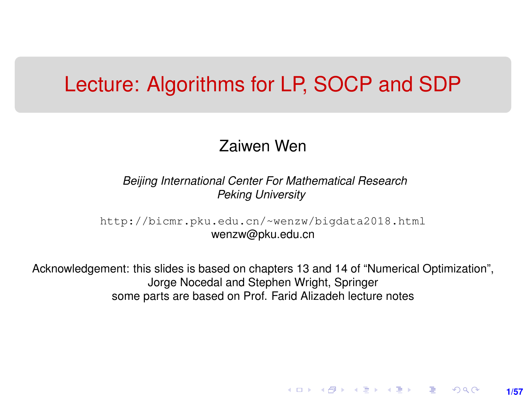## <span id="page-0-0"></span>Lecture: Algorithms for LP, SOCP and SDP

#### Zaiwen Wen

*Beijing International Center For Mathematical Research Peking University*

[http://bicmr.pku.edu.cn/~wenzw/bigdata2018.html](http://bicmr.pku.edu.cn/~wenzw/bigdata2018.html ) wenzw@pku.edu.cn

Acknowledgement: this slides is based on chapters 13 and 14 of "Numerical Optimization", Jorge Nocedal and Stephen Wright, Springer some parts are based on Prof. Farid Alizadeh lecture notes

**1/57**

K ロ ▶ K 레 ▶ K 회 ▶ K 회 ▶ │ 회 │ ⊙ Q Q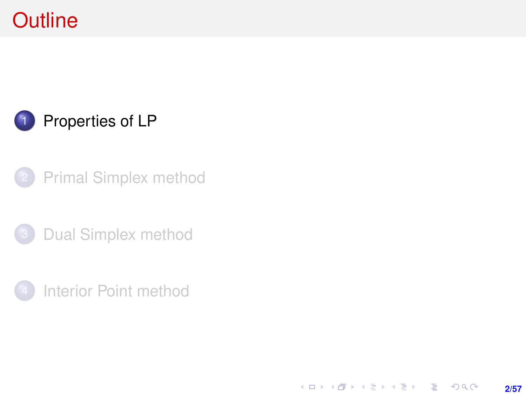# <span id="page-1-0"></span>**Outline**

## [Properties of LP](#page-1-0)

- [Primal Simplex method](#page-7-0)
- [Dual Simplex method](#page-22-0)
- [Interior Point method](#page-28-0)

**2/57**

K ロ ▶ K @ ▶ K 할 ▶ K 할 ▶ ... 할 ... ⊙ Q ⊙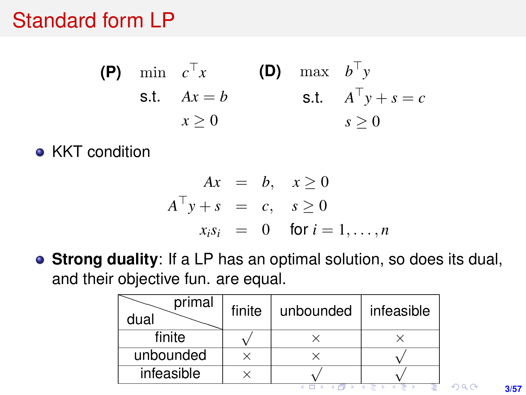# <span id="page-2-0"></span>Standard form LP

- **(P)** min  $c^{\top}x$  **(D)** max  $b^{\top}y$ s.t.  $Ax = b$  s.t.  $A^{\top}y + s = c$  $x > 0$  $s > 0$
- KKT condition

$$
Ax = b, x \ge 0
$$
  
\n
$$
A^{\top}y + s = c, s \ge 0
$$
  
\n
$$
x_i s_i = 0 \text{ for } i = 1, ..., n
$$

**Strong duality**: If a LP has an optimal solution, so does its dual, and their objective fun. are equal.

| primal<br>dual | finite | unbounded | infeasible |  |
|----------------|--------|-----------|------------|--|
| finite         |        |           |            |  |
| unbounded      |        |           |            |  |
| infeasible     |        |           |            |  |
|                |        |           |            |  |

**3/57**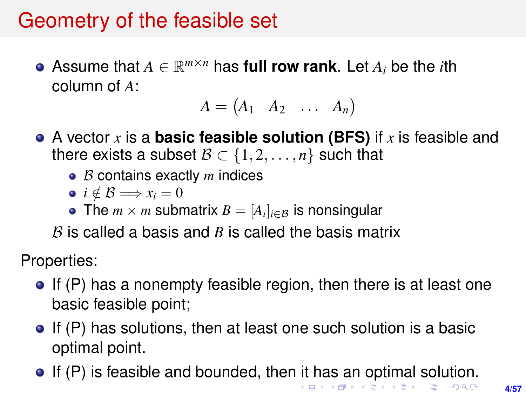# <span id="page-3-0"></span>Geometry of the feasible set

Assume that  $A \in \mathbb{R}^{m \times n}$  has **full row rank**. Let  $A_i$  be the *i*th column of *A*:

$$
A = \begin{pmatrix} A_1 & A_2 & \dots & A_n \end{pmatrix}
$$

- A vector *x* is a **basic feasible solution (BFS)** if *x* is feasible and there exists a subset  $\mathcal{B} \subset \{1, 2, \ldots, n\}$  such that
	- $\bullet$  *B* contains exactly *m* indices
	- $\bullet i \notin \mathcal{B} \Longrightarrow x_i = 0$
	- The  $m \times m$  submatrix  $B = [A_i]_{i \in \mathcal{B}}$  is nonsingular

 $B$  is called a basis and  $B$  is called the basis matrix

Properties:

- $\bullet$  If (P) has a nonempty feasible region, then there is at least one basic feasible point;
- $\bullet$  If (P) has solutions, then at least one such solution is a basic optimal point.
- If (P) is feasible and bounded, the[n it](#page-2-0) [ha](#page-4-0)[s a](#page-3-0)[n](#page-4-0) [o](#page-0-0)[pt](#page-56-0)[im](#page-0-0)[al](#page-56-0) [s](#page-0-0)[olu](#page-56-0)tion.<br>Second the set of the second the second the set of the second the set of the second the set of the set of the set of the set of the set of the set of the se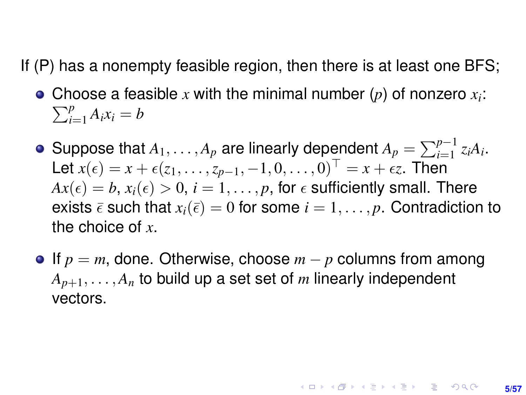<span id="page-4-0"></span>If (P) has a nonempty feasible region, then there is at least one BFS;

- Choose a feasible x with the minimal number  $(p)$  of nonzero  $x_i$ :  $\sum_{i=1}^{p}$  $\sum_{i=1}^{p} A_i x_i = b$
- Suppose that  $A_1, \ldots, A_p$  are linearly dependent  $A_p = \sum_{i=1}^{p-1} z_i A_i$ . Let  $x(\epsilon) = x + \epsilon(z_1, \ldots, z_{p-1}, -1, 0, \ldots, 0)^\top = x + \epsilon z$ . Then  $Ax(\epsilon) = b, x_i(\epsilon) > 0, i = 1, \ldots, p$ , for  $\epsilon$  sufficiently small. There exists  $\bar{\epsilon}$  such that  $x_i(\bar{\epsilon}) = 0$  for some  $i = 1, \ldots, p$ . Contradiction to the choice of *x*.
- If *p* = *m*, done. Otherwise, choose *m* − *p* columns from among  $A_{p+1}, \ldots, A_n$  to build up a set set of *m* linearly independent vectors.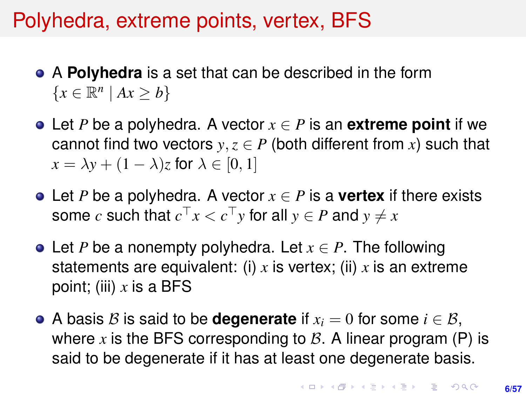# Polyhedra, extreme points, vertex, BFS

- A **Polyhedra** is a set that can be described in the form  ${x \in \mathbb{R}^n \mid Ax \ge b}$
- Let *P* be a polyhedra. A vector *x* ∈ *P* is an **extreme point** if we cannot find two vectors  $y, z \in P$  (both different from x) such that  $x = \lambda y + (1 - \lambda)z$  for  $\lambda \in [0, 1]$
- **•** Let *P* be a polyhedra. A vector  $x \in P$  is a **vertex** if there exists some  $c$  such that  $c^\top x < c^\top y$  for all  $y \in P$  and  $y \neq x$
- Let *P* be a nonempty polyhedra. Let *x* ∈ *P*. The following statements are equivalent: (i) *x* is vertex; (ii) *x* is an extreme point; (iii) *x* is a BFS
- A basis B is said to be **degenerate** if  $x_i = 0$  for some  $i \in \mathcal{B}$ , where  $x$  is the BFS corresponding to  $B$ . A linear program (P) is said to be degenerate if it has at least one degenerate basis.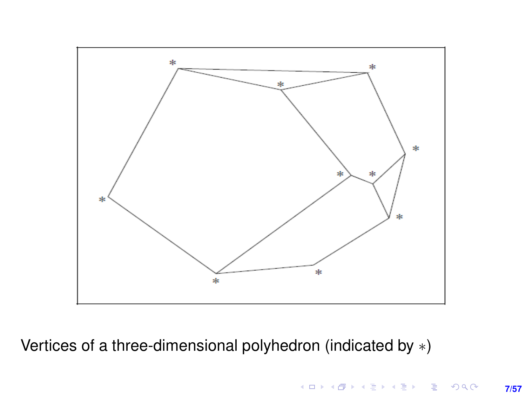

Vertices of a three-dimensional polyhedron (indicated by ∗)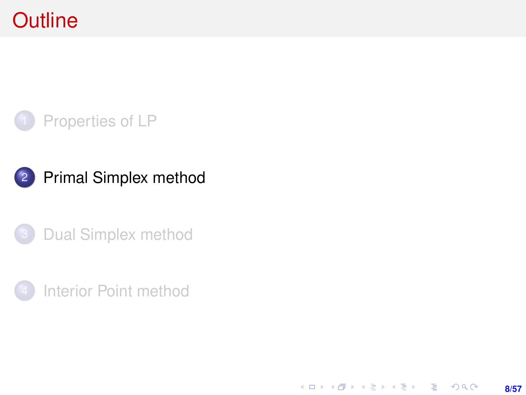# <span id="page-7-0"></span>**Outline**



### 2 [Primal Simplex method](#page-7-0)





K ロ ▶ K @ ▶ K 할 ▶ K 할 ▶ ... 할 ... ⊙ Q ⊙ **8/57**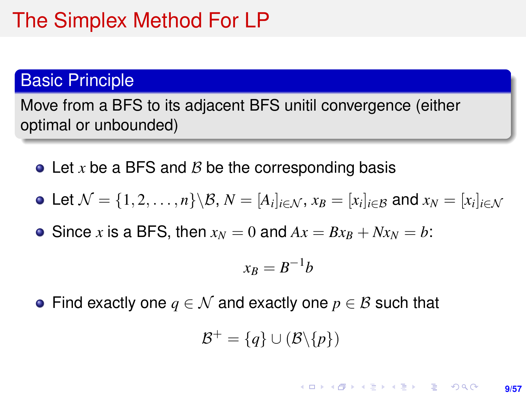# The Simplex Method For LP

#### Basic Principle

Move from a BFS to its adjacent BFS unitil convergence (either optimal or unbounded)

 $\bullet$  Let x be a BFS and B be the corresponding basis

• Let 
$$
\mathcal{N} = \{1, 2, ..., n\} \setminus \mathcal{B}, N = [A_i]_{i \in \mathcal{N}}, x_B = [x_i]_{i \in \mathcal{B}}
$$
 and  $x_N = [x_i]_{i \in \mathcal{N}}$ 

• Since *x* is a BFS, then  $x_N = 0$  and  $Ax = Bx_B + Nx_N = b$ :

$$
x_B=B^{-1}b
$$

• Find exactly one  $q \in \mathcal{N}$  and exactly one  $p \in \mathcal{B}$  such that

$$
\mathcal{B}^+=\{q\}\cup(\mathcal{B}\backslash\{p\})
$$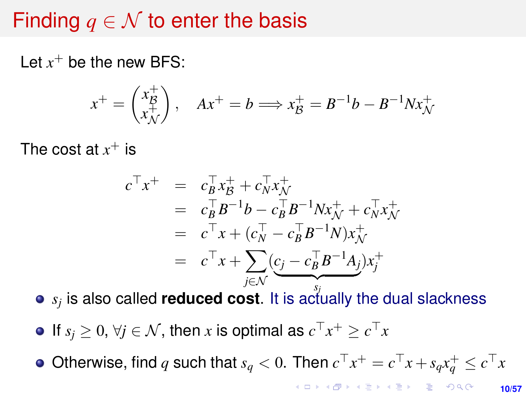# Finding  $q \in \mathcal{N}$  to enter the basis

Let  $x^+$  be the new BFS:

$$
x^{+} = \begin{pmatrix} x_B^{+} \\ x_N^{+} \end{pmatrix}, \quad Ax^{+} = b \Longrightarrow x_B^{+} = B^{-1}b - B^{-1}Nx_N^{+}
$$

The cost at  $x^+$  is

$$
c^{\top}x^{+} = c_{B}^{\top}x_{B}^{+} + c_{N}^{\top}x_{N}^{+}
$$
  
\n
$$
= c_{B}^{\top}B^{-1}b - c_{B}^{\top}B^{-1}Nx_{N}^{+} + c_{N}^{\top}x_{N}^{+}
$$
  
\n
$$
= c^{\top}x + (c_{N}^{\top} - c_{B}^{\top}B^{-1}N)x_{N}^{+}
$$
  
\n
$$
= c^{\top}x + \sum_{j \in N} (\underbrace{c_{j} - c_{B}^{\top}B^{-1}A_{j}})x_{j}^{+}
$$

 $s_j$  is also called **reduced cost**. It is actually the dual slackness

If  $s_j \geq 0$ ,  $\forall j \in \mathcal{N}$ , then *x* is optimal as  $c^\top x^+ \geq c^\top x$ 

Otherwise, find  $q$  such that  $s_q < 0$ . Then  $c^\top x^+ = c^\top x + s_q x_q^+ \leq c^\top x$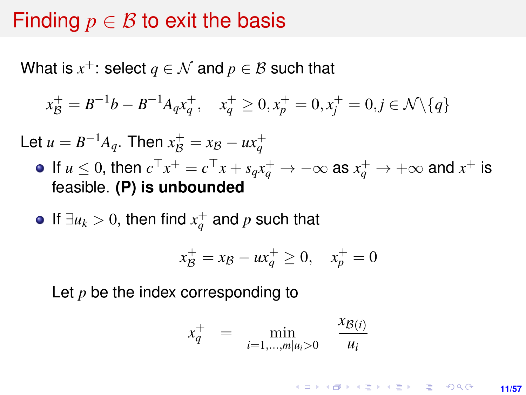### Finding  $p \in \mathcal{B}$  to exit the basis

What is  $x^+$ : select  $q\in\mathcal{N}$  and  $p\in\mathcal{B}$  such that

$$
x_{\mathcal{B}}^+ = B^{-1}b - B^{-1}A_q x_q^+, \quad x_q^+ \ge 0, x_p^+ = 0, x_j^+ = 0, j \in \mathcal{N} \setminus \{q\}
$$

Let  $u = B^{-1}A_q$ . Then  $x_{\mathcal{B}}^+ = x_{\mathcal{B}} - ux_q^+$ 

- If  $u \leq 0$ , then  $c^{\top}x^+ = c^{\top}x + s_qx_q^+ \to -\infty$  as  $x_q^+ \to +\infty$  and  $x^+$  is feasible. **(P) is unbounded**
- If  $\exists u_k > 0$ , then find  $x_q^+$  and  $p$  such that

$$
x_{\mathcal{B}}^+ = x_{\mathcal{B}} - ux_q^+ \ge 0, \quad x_p^+ = 0
$$

Let *p* be the index corresponding to

$$
x_q^+ = \min_{i=1,\dots,m|u_i>0} \frac{x_{\mathcal{B}(i)}}{u_i}
$$

**KORKARK A BIK BIKA A GA A GA A GA A BIKA A BIKA A BIKA A BIKA A BIKA A BIKA A BIKA A BIKA A BIKA A BIKA A BIKA 11/57**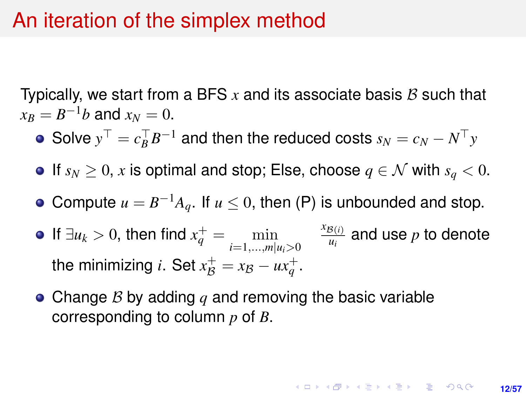### An iteration of the simplex method

Typically, we start from a BFS  $x$  and its associate basis  $B$  such that  $x_B = B^{-1}b$  and  $x_N = 0$ .

- Solve  $y^{\top} = c_B^{\top} B^{-1}$  and then the reduced costs  $s_N = c_N N^{\top} y$
- $\bullet$  If *s<sub>N</sub>* ≥ 0, *x* is optimal and stop; Else, choose *q* ∈ N with *s<sub>q</sub>* < 0.
- Compute  $u = B^{-1}A_q$ . If  $u \le 0$ , then (P) is unbounded and stop.
- If ∃*u*<sub>*k*</sub> > 0, then find  $x_q^+ = \min_{i=1,...,m|u_i>0}$  $x_{\mathcal{B}(i)}$  $\frac{g(i)}{u_i}$  and use  $p$  to denote the minimizing *i*. Set  $x_{\mathcal{B}}^+ = x_{\mathcal{B}} - ux_q^+$ .
- Change B by adding *q* and removing the basic variable corresponding to column *p* of *B*.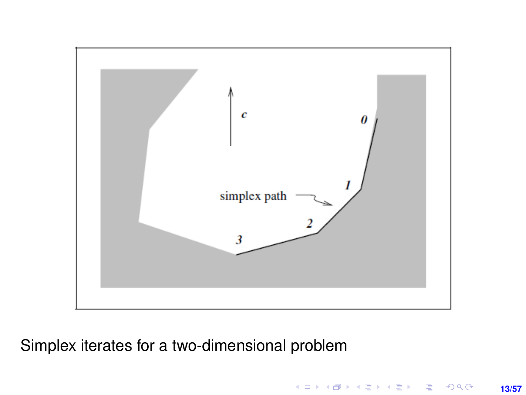

Simplex iterates for a two-dimensional problem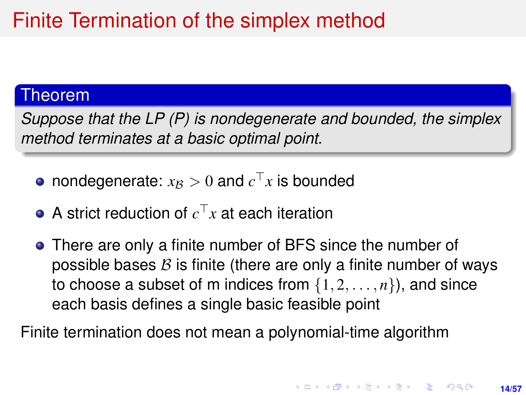# Finite Termination of the simplex method

#### Theorem

*Suppose that the LP (P) is nondegenerate and bounded, the simplex method terminates at a basic optimal point.*

- nondegenerate:  $x_{\mathcal{B}} > 0$  and  $c^{\top}x$  is bounded
- A strict reduction of  $c^\top x$  at each iteration
- There are only a finite number of BFS since the number of possible bases  $\beta$  is finite (there are only a finite number of ways to choose a subset of m indices from  $\{1, 2, \ldots, n\}$ , and since each basis defines a single basic feasible point

Finite termination does not mean a polynomial-time algorithm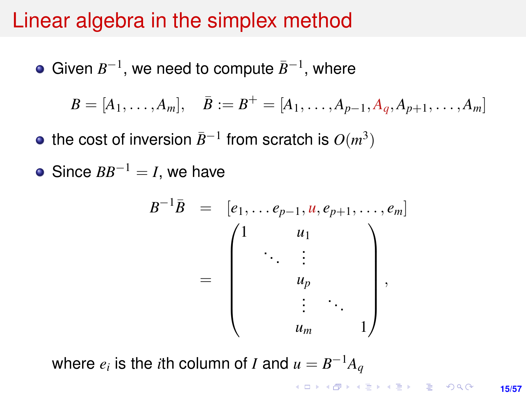### Linear algebra in the simplex method

Given  $B^{-1}$ , we need to compute  $\bar{B}^{-1}$ , where

$$
B = [A_1, \ldots, A_m], \quad \bar{B} := B^+ = [A_1, \ldots, A_{p-1}, A_q, A_{p+1}, \ldots, A_m]
$$

- the cost of inversion  $\bar{B}^{-1}$  from scratch is  $O(m^3)$
- Since  $BB^{-1} = I$ , we have

$$
B^{-1}\overline{B} = [e_1, \ldots e_{p-1}, u, e_{p+1}, \ldots, e_m]
$$
  
= 
$$
\begin{pmatrix} 1 & u_1 & & \\ & \ddots & & \\ & & u_p & \\ & & & \vdots & \\ & & & u_m & 1 \end{pmatrix},
$$

where  $e_i$  is the *i*th column of *I* and  $u = B^{-1}A_q$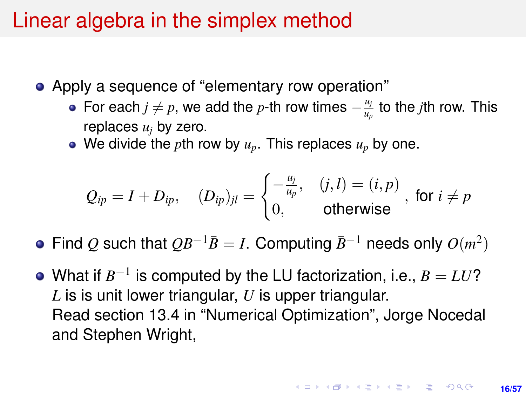## Linear algebra in the simplex method

- Apply a sequence of "elementary row operation"
	- For each *j*  $\neq$  *p*, we add the *p*-th row times  $-\frac{u_j}{u_j}$ *up* to the *j*th row. This replaces  $u_i$  by zero.
	- We divide the *p*th row by  $u_p$ . This replaces  $u_p$  by one.

$$
Q_{ip} = I + D_{ip}, \quad (D_{ip})_{jl} = \begin{cases} -\frac{u_j}{u_p}, & (j,l) = (i,p) \\ 0, & \text{otherwise} \end{cases}, \text{ for } i \neq p
$$

- Find *Q* such that  $QB^{-1}\overline{B}=I$ . Computing  $\overline{B}^{-1}$  needs only  $O(m^2)$
- What if  $B^{-1}$  is computed by the LU factorization, i.e.,  $B = LU$ ? *L* is is unit lower triangular, *U* is upper triangular. Read section 13.4 in "Numerical Optimization", Jorge Nocedal and Stephen Wright,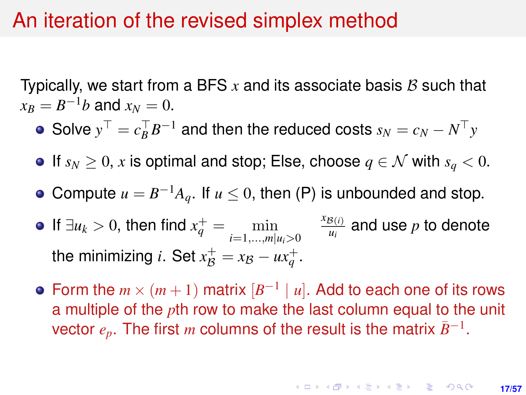### An iteration of the revised simplex method

Typically, we start from a BFS  $x$  and its associate basis  $B$  such that  $x_B = B^{-1}b$  and  $x_N = 0$ .

- Solve  $y^{\top} = c_B^{\top} B^{-1}$  and then the reduced costs  $s_N = c_N N^{\top} y$
- $\bullet$  If *s<sub>N</sub>* ≥ 0, *x* is optimal and stop; Else, choose *q* ∈ *N* with *s<sub>q</sub>* < 0.
- Compute  $u = B^{-1}A_q$ . If  $u \le 0$ , then (P) is unbounded and stop.
- If ∃*u*<sub>*k*</sub> > 0, then find  $x_q^+ = \min_{i=1,...,m|u_i>0}$  $x_{\mathcal{B}(i)}$  $\frac{g(i)}{u_i}$  and use  $p$  to denote the minimizing *i*. Set  $x_{\mathcal{B}}^+ = x_{\mathcal{B}} - ux_q^+$ .
- Form the  $m \times (m+1)$  matrix  $[B^{-1} | u]$ . Add to each one of its rows a multiple of the *p*th row to make the last column equal to the unit vector  $e_p$ . The first *m* columns of the result is the matrix  $\bar{B}^{-1}$ .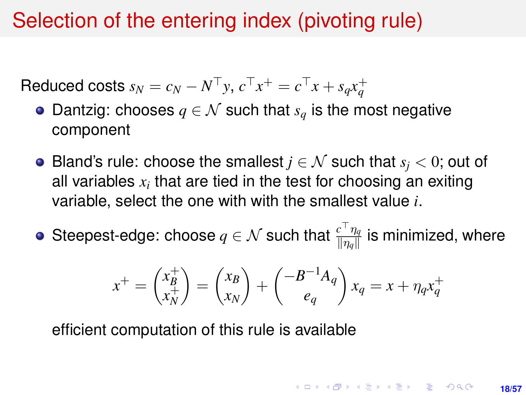# Selection of the entering index (pivoting rule)

Reduced costs  $s_N = c_N - N^{\top}y$ ,  $c^{\top}x^+ = c^{\top}x + s_qx_q^+$ 

- $\bullet$  Dantzig: chooses *q* ∈ *N* such that *s<sub>q</sub>* is the most negative component
- **•** Bland's rule: choose the smallest  $j \in \mathcal{N}$  such that  $s_i < 0$ ; out of all variables  $x_i$  that are tied in the test for choosing an exiting variable, select the one with with the smallest value *i*.
- Steepest-edge: choose  $q \in \mathcal{N}$  such that  $\frac{c^\top \eta_q}{\|\eta_q\|}$  is minimized, where

$$
x^{+} = \begin{pmatrix} x_B^{+} \\ x_N^{+} \end{pmatrix} = \begin{pmatrix} x_B \\ x_N \end{pmatrix} + \begin{pmatrix} -B^{-1}A_q \\ e_q \end{pmatrix} x_q = x + \eta_q x_q^{+}
$$

efficient computation of this rule is available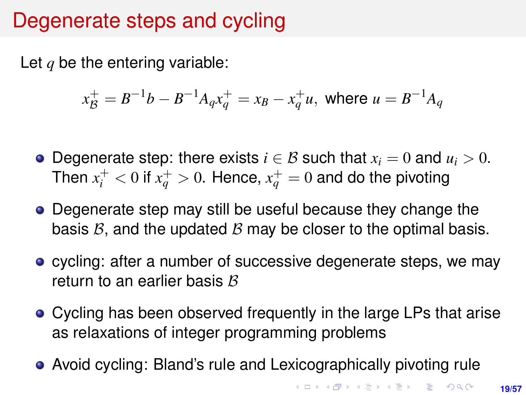# Degenerate steps and cycling

Let *q* be the entering variable:

$$
x_B^+ = B^{-1}b - B^{-1}A_q x_q^+ = x_B - x_q^+ u
$$
, where  $u = B^{-1}A_q$ 

- **•** Degenerate step: there exists  $i \in \mathcal{B}$  such that  $x_i = 0$  and  $u_i > 0$ . Then  $x_i^+ < 0$  if  $x_q^+ > 0$ . Hence,  $x_q^+ = 0$  and do the pivoting
- Degenerate step may still be useful because they change the basis  $B$ , and the updated  $B$  may be closer to the optimal basis.
- **•** cycling: after a number of successive degenerate steps, we may return to an earlier basis  $B$
- Cycling has been observed frequently in the large LPs that arise as relaxations of integer programming problems
- Avoid cycling: Bland's rule and Lexicographically pivoting rule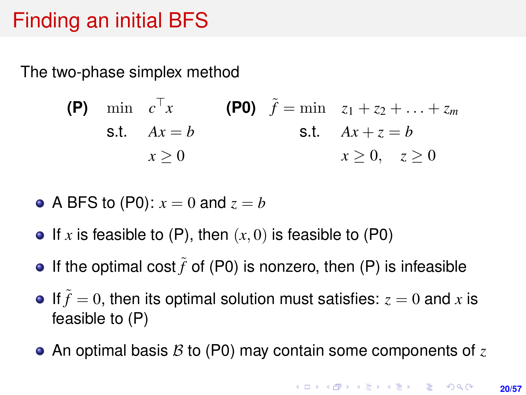# Finding an initial BFS

The two-phase simplex method

(P) 
$$
\min \ c^{\top} x
$$

\n(P0)  $\tilde{f} = \min \ z_1 + z_2 + \ldots + z_m$ 

\ns.t.  $Ax = b$ 

\n $x \geq 0$ 

\n $x \geq 0$ 

\n $x \geq 0$ 

• A BFS to (P0): 
$$
x = 0
$$
 and  $z = b$ 

- If x is feasible to  $(P)$ , then  $(x, 0)$  is feasible to  $(P0)$
- **•** If the optimal cost  $\tilde{f}$  of (P0) is nonzero, then (P) is infeasible
- If  $\tilde{f} = 0$ , then its optimal solution must satisfies:  $z = 0$  and x is feasible to (P)
- An optimal basis B to (P0) may contain some components of *z*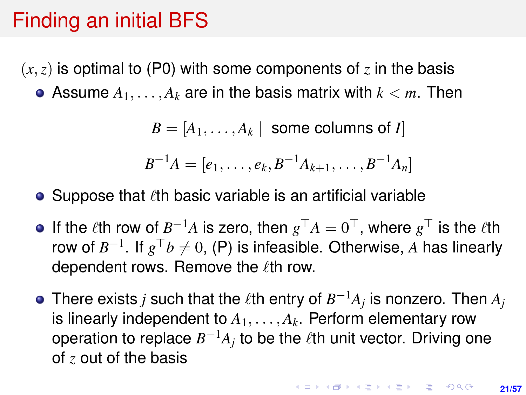## Finding an initial BFS

 $(x, z)$  is optimal to (P0) with some components of z in the basis • Assume  $A_1, \ldots, A_k$  are in the basis matrix with  $k < m$ . Then

 $B = [A_1, \ldots, A_k]$  some columns of *I* 

$$
B^{-1}A=[e_1,\ldots,e_k,B^{-1}A_{k+1},\ldots,B^{-1}A_n]
$$

#### • Suppose that  $\ell$ th basic variable is an artificial variable

- If the  $\ell$ th row of  $B^{-1}A$  is zero, then  $g^{\top}A = 0^{\top}$ , where  $g^{\top}$  is the  $\ell$ th row of  $B^{-1}$ . If  $g^\top b \neq 0$ , (P) is infeasible. Otherwise,  $A$  has linearly dependent rows. Remove the  $\ell$ th row.
- There exists *j* such that the  $\ell$ th entry of  $B^{-1}A_j$  is nonzero. Then  $A_j$ is linearly independent to  $A_1, \ldots, A_k$ . Perform elementary row operation to replace  $B^{-1}A_j$  to be the  $\ell$ th unit vector. Driving one of *z* out of the basis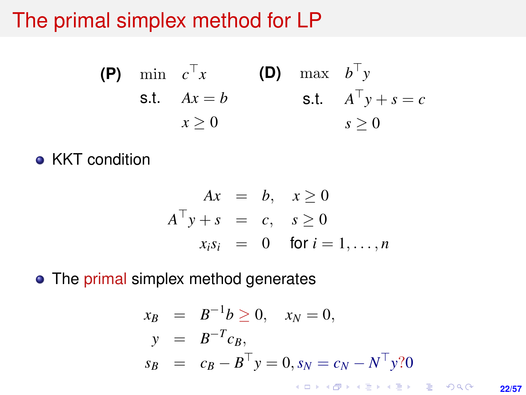# The primal simplex method for LP

(P) min 
$$
c^{\top}x
$$
 (D) max  $b^{\top}y$   
s.t.  $Ax = b$  s.t.  $A^{\top}y + s = c$   
 $x \ge 0$   $s \ge 0$ 

**• KKT condition** 

$$
Ax = b, x \ge 0
$$
  
\n
$$
A^{\top}y + s = c, s \ge 0
$$
  
\n
$$
x_i s_i = 0 \text{ for } i = 1, ..., n
$$

• The primal simplex method generates

$$
x_B = B^{-1}b \ge 0, \quad x_N = 0,
$$
  
\n
$$
y = B^{-T}c_B,
$$
  
\n
$$
s_B = c_B - B^{\top}y = 0, s_N = c_N - N^{\top}y
$$
?0

**22/57**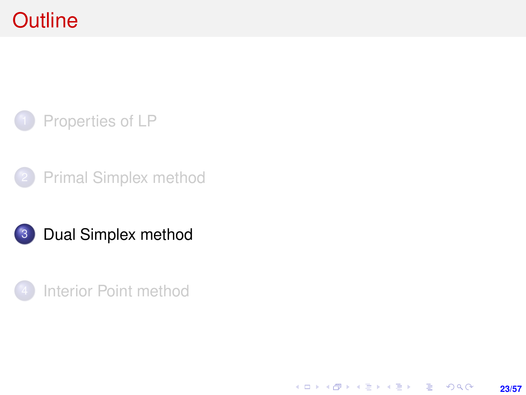# <span id="page-22-0"></span>**Outline**



- [Primal Simplex method](#page-7-0)
- 3 [Dual Simplex method](#page-22-0)
- [Interior Point method](#page-28-0)

**23/57**

K ロ ▶ K @ ▶ K 할 ▶ K 할 ▶ ... 할 → 9 Q @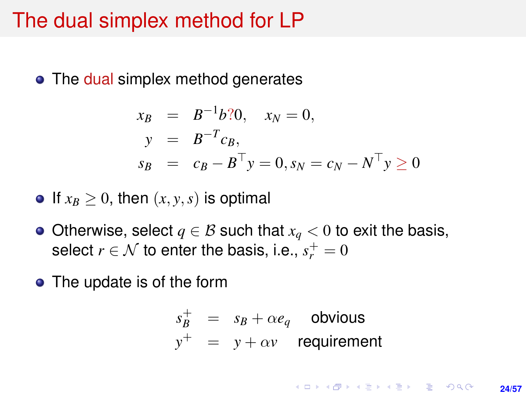### The dual simplex method for LP

• The dual simplex method generates

$$
x_B = B^{-1}b{?}0, \quad x_N = 0,
$$
  
\n
$$
y = B^{-T}c_B,
$$
  
\n
$$
s_B = c_B - B^{\top}y = 0, s_N = c_N - N^{\top}y \ge 0
$$

• If  $x_B \geq 0$ , then  $(x, y, s)$  is optimal

- $\bullet$  Otherwise, select *q* ∈ *B* such that *x<sub>q</sub>* < 0 to exit the basis, select  $r \in \mathcal{N}$  to enter the basis, i.e.,  $s_r^+ = 0$
- The update is of the form

$$
s_B^+ = s_B + \alpha e_q
$$
obvious  

$$
y^+ = y + \alpha v
$$
 requirement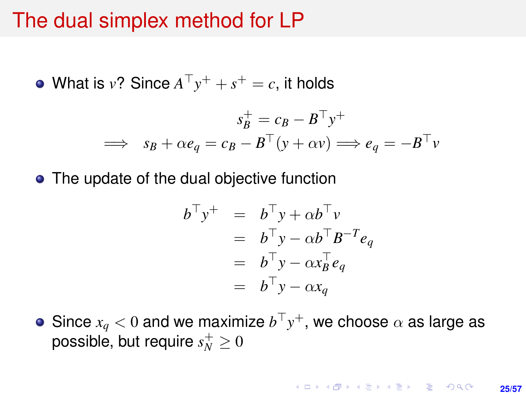### The dual simplex method for LP

What is  $v$ ? Since  $A^{\top}y^+ + s^+ = c$ , it holds

$$
s_B^+ = c_B - B^\top y^+
$$
  
\n
$$
\implies s_B + \alpha e_q = c_B - B^\top (y + \alpha v) \implies e_q = -B^\top v
$$

• The update of the dual objective function

$$
b^{\top}y^{+} = b^{\top}y + \alpha b^{\top}v
$$
  
=  $b^{\top}y - \alpha b^{\top}B^{-T}e_q$   
=  $b^{\top}y - \alpha x_B^{\top}e_q$   
=  $b^{\top}y - \alpha x_q$ 

Since  $x_q < 0$  and we maximize  $b^\top y^+$ , we choose  $\alpha$  as large as possible, but require  $s_N^+ \geq 0$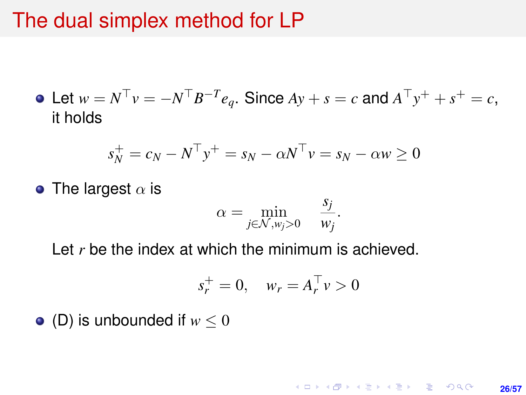### The dual simplex method for LP

Let  $w = N^{\top}v = -N^{\top}B^{-T}e_q$ . Since  $Ay + s = c$  and  $A^{\top}y^+ + s^+ = c$ , it holds

$$
s_N^+ = c_N - N^\top y^+ = s_N - \alpha N^\top v = s_N - \alpha w \ge 0
$$

• The largest  $\alpha$  is

$$
\alpha = \min_{j \in \mathcal{N}, w_j > 0} \quad \frac{s_j}{w_j}.
$$

Let r be the index at which the minimum is achieved.

$$
s_r^+ = 0, \quad w_r = A_r^\top v > 0
$$

 $\bullet$  (D) is unbounded if  $w < 0$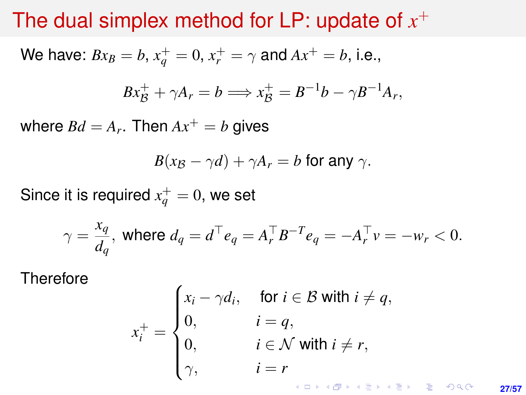# The dual simplex method for LP: update of *x* +

We have: 
$$
Bx_B = b
$$
,  $x_q^+ = 0$ ,  $x_r^+ = \gamma$  and  $Ax^+ = b$ , i.e.,

$$
Bx_{\mathcal{B}}^+ + \gamma A_r = b \Longrightarrow x_{\mathcal{B}}^+ = B^{-1}b - \gamma B^{-1}A_r,
$$

where  $Bd = A_r$ . Then  $Ax^+ = b$  gives

$$
B(x_{\mathcal{B}} - \gamma d) + \gamma A_r = b
$$
 for any  $\gamma$ .

Since it is required  $x^+_q = 0$ , we set

 $\lambda$ 

$$
\gamma = \frac{x_q}{d_q}
$$
, where  $d_q = d^{\top} e_q = A_r^{\top} B^{-T} e_q = -A_r^{\top} v = -w_r < 0$ .

**Therefore** 

$$
x_i^+ = \begin{cases} x_i - \gamma d_i, & \text{for } i \in \mathcal{B} \text{ with } i \neq q, \\ 0, & i = q, \\ 0, & i \in \mathcal{N} \text{ with } i \neq r, \\ \gamma, & i = r \end{cases}
$$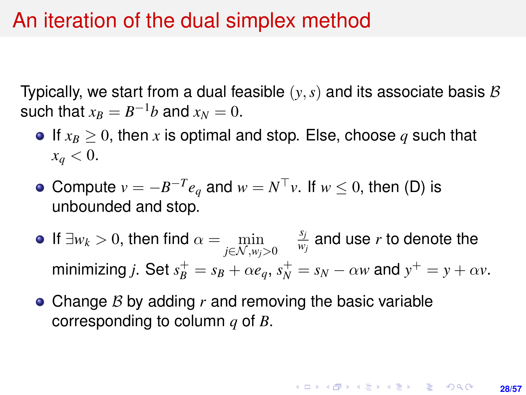### An iteration of the dual simplex method

Typically, we start from a dual feasible  $(y, s)$  and its associate basis  $\mathcal B$ such that  $x_B = B^{-1}b$  and  $x_N = 0$ .

- **If**  $x_B > 0$ , then x is optimal and stop. Else, choose q such that  $x_a < 0$ .
- Compute  $v = -B^{-T}e_q$  and  $w = N^{\top}v$ . If  $w \leq 0$ , then (D) is unbounded and stop.
- If  $\exists w_k > 0$ , then find  $\alpha = \min_{j \in \mathcal{N}, w_j > 0}$ *sj*  $\frac{y_j}{w_j}$  and use  $r$  to denote the minimizing *j*. Set  $s_B^+ = s_B + \alpha e_q$ ,  $s_N^+ = s_N - \alpha w$  and  $y^+ = y + \alpha v$ .
- Change B by adding r and removing the basic variable corresponding to column *q* of *B*.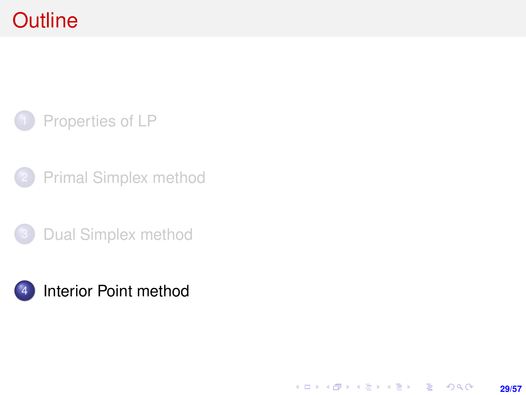# <span id="page-28-0"></span>**Outline**

### [Properties of LP](#page-1-0)

- [Primal Simplex method](#page-7-0)
- [Dual Simplex method](#page-22-0)



K ロ > K @ > K 할 > K 할 > → 할 → 9 Q @ **29/57**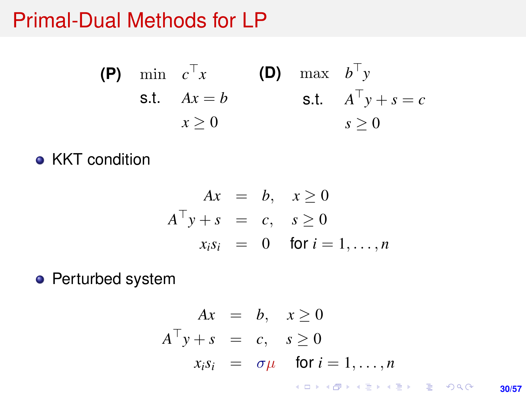### Primal-Dual Methods for LP

(P) min 
$$
c^{\top}x
$$
 (D) max  $b^{\top}y$   
s.t.  $Ax = b$  s.t.  $A^{\top}y + s = c$   
 $x \ge 0$   $s \ge 0$ 

**• KKT condition** 

$$
Ax = b, x \ge 0
$$
  
\n
$$
A^{\top}y + s = c, s \ge 0
$$
  
\n
$$
x_i s_i = 0 \text{ for } i = 1, ..., n
$$

• Perturbed system

$$
Ax = b, x \ge 0
$$
  
\n
$$
A^{T}y + s = c, s \ge 0
$$
  
\n
$$
x_{i}s_{i} = \sigma\mu \quad \text{for } i = 1,...,n
$$

**30/57**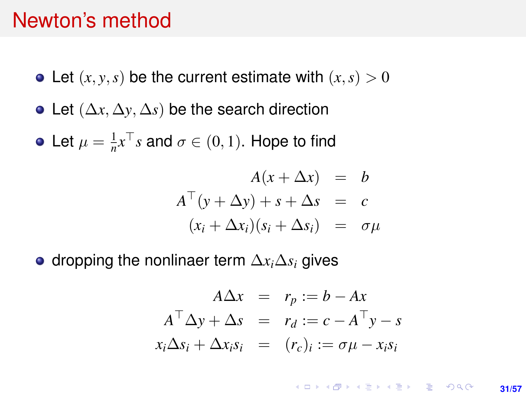### Newton's method

- Let  $(x, y, s)$  be the current estimate with  $(x, s) > 0$
- Let (∆*x*, ∆*y*, ∆*s*) be the search direction
- Let  $\mu = \frac{1}{n}x^{\top}s$  and  $\sigma \in (0, 1)$ . Hope to find

$$
A(x + \Delta x) = b
$$
  
\n
$$
A^{\top}(y + \Delta y) + s + \Delta s = c
$$
  
\n
$$
(x_i + \Delta x_i)(s_i + \Delta s_i) = \sigma \mu
$$

• dropping the nonlinaer term  $\Delta x_i \Delta s_i$  gives

$$
A\Delta x = r_p := b - Ax
$$
  

$$
A^{\top} \Delta y + \Delta s = r_d := c - A^{\top} y - s
$$
  

$$
x_i \Delta s_i + \Delta x_i s_i = (r_c)_i := \sigma \mu - x_i s_i
$$

**KORKARK KERKER DRAM 31/57**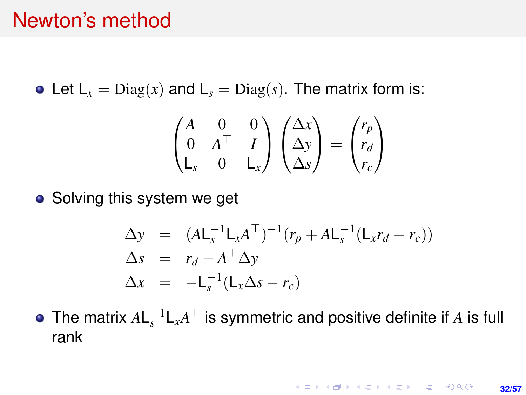#### Newton's method

• Let  $L_x = \text{Diag}(x)$  and  $L_s = \text{Diag}(s)$ . The matrix form is:

$$
\begin{pmatrix} A & 0 & 0 \ 0 & A^\top & I \ L_s & 0 & L_x \end{pmatrix} \begin{pmatrix} \Delta x \\ \Delta y \\ \Delta s \end{pmatrix} = \begin{pmatrix} r_p \\ r_d \\ r_c \end{pmatrix}
$$

• Solving this system we get

$$
\Delta y = (A L_s^{-1} L_x A^{\top})^{-1} (r_p + A L_s^{-1} (L_x r_d - r_c))
$$
  
\n
$$
\Delta s = r_d - A^{\top} \Delta y
$$
  
\n
$$
\Delta x = -L_s^{-1} (L_x \Delta s - r_c)
$$

The matrix  $A\mathsf{L}_s^{-1}\mathsf{L}_x A^\top$  is symmetric and positive definite if  $A$  is full rank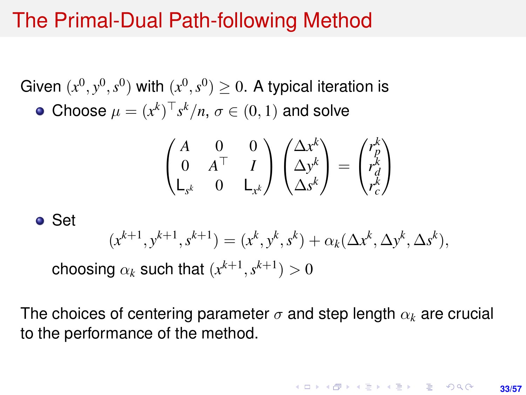# The Primal-Dual Path-following Method

Given  $(x^0, y^0, s^0)$  with  $(x^0, s^0) \geq 0$ . A typical iteration is Choose  $\mu = (x^k)^\top s^k/n$ ,  $\sigma \in (0,1)$  and solve

$$
\begin{pmatrix}\nA & 0 & 0 \\
0 & A^{\top} & I \\
L_{s^k} & 0 & L_{x^k}\n\end{pmatrix}\n\begin{pmatrix}\n\Delta x^k \\
\Delta y^k \\
\Delta s^k\n\end{pmatrix} = \begin{pmatrix}\nr_p^k \\
r_d^k \\
r_c^k\n\end{pmatrix}
$$

Set

$$
(x^{k+1},y^{k+1},s^{k+1})=(x^k,y^k,s^k)+\alpha_k(\Delta x^k,\Delta y^k,\Delta s^k),
$$

choosing  $\alpha_k$  such that  $(x^{k+1}, s^{k+1}) > 0$ 

The choices of centering parameter  $\sigma$  and step length  $\alpha_k$  are crucial to the performance of the method.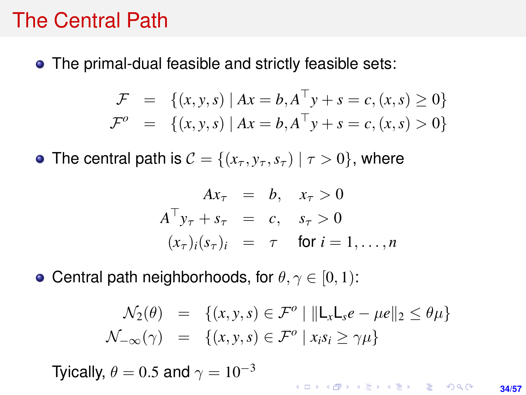### The Central Path

The primal-dual feasible and strictly feasible sets:

$$
\mathcal{F} = \{ (x, y, s) | Ax = b, A^{\top}y + s = c, (x, s) \ge 0 \}
$$
  

$$
\mathcal{F}^o = \{ (x, y, s) | Ax = b, A^{\top}y + s = c, (x, s) > 0 \}
$$

• The central path is  $C = \{(x_\tau, y_\tau, s_\tau) | \tau > 0\}$ , where

$$
Ax_{\tau} = b, \quad x_{\tau} > 0
$$
  
\n
$$
A^{\top} y_{\tau} + s_{\tau} = c, \quad s_{\tau} > 0
$$
  
\n
$$
(x_{\tau})_i (s_{\tau})_i = \tau \quad \text{for } i = 1, ..., n
$$

• Central path neighborhoods, for  $\theta, \gamma \in [0, 1)$ :

$$
\mathcal{N}_2(\theta) = \{(x, y, s) \in \mathcal{F}^o \mid ||\mathsf{L}_x \mathsf{L}_s e - \mu e||_2 \le \theta \mu\}
$$
  

$$
\mathcal{N}_{-\infty}(\gamma) = \{(x, y, s) \in \mathcal{F}^o \mid x_i s_i \ge \gamma \mu\}
$$

Tyically,  $\theta = 0.5$  and  $\gamma = 10^{-3}$ 

KO KKØKKEKKEK E KORO **34/57**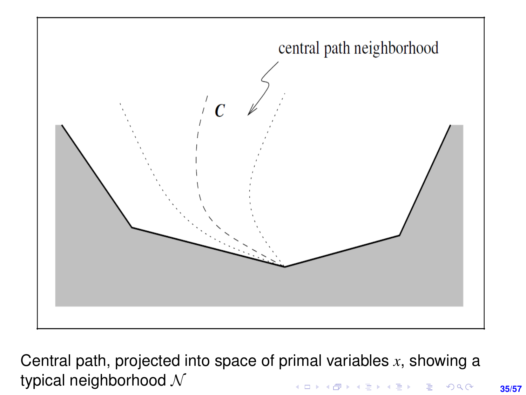

Central path, projected into space of primal variables *x*, showing a typical neighborhood  $\mathcal N$ **≮ロ ▶ (伊 ▶ (ミ ▶ (王 )** ÷.  $299$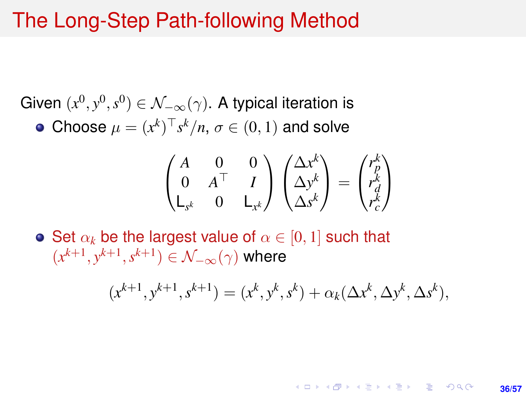### The Long-Step Path-following Method

Given  $(x^0, y^0, s^0) \in \mathcal{N}_{-\infty}(\gamma)$ . A typical iteration is Choose  $\mu = (x^k)^\top s^k/n$ ,  $\sigma \in (0,1)$  and solve

$$
\begin{pmatrix} A & 0 & 0 \ 0 & A^\top & I \ L_{s^k} & 0 & L_{x^k} \end{pmatrix} \begin{pmatrix} \Delta x^k \\ \Delta y^k \\ \Delta s^k \end{pmatrix} = \begin{pmatrix} r_p^k \\ r_d^k \\ r_c^k \end{pmatrix}
$$

• Set  $\alpha_k$  be the largest value of  $\alpha \in [0,1]$  such that  $(x^{k+1}, y^{k+1}, s^{k+1}) \in \mathcal{N}_{-\infty}(\gamma)$  where

$$
(x^{k+1}, y^{k+1}, s^{k+1}) = (x^k, y^k, s^k) + \alpha_k(\Delta x^k, \Delta y^k, \Delta s^k),
$$

KORK ERKER ERKER **36/57**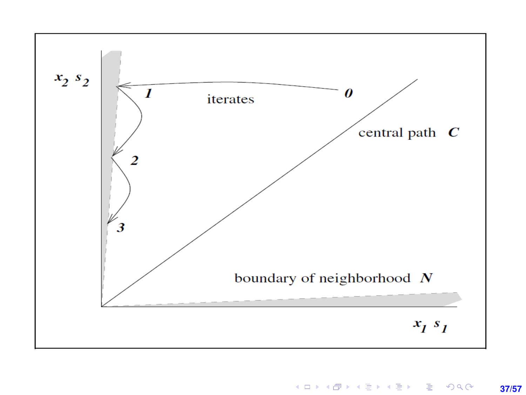

KOKK@KKEKKEK E 1990 **37/57**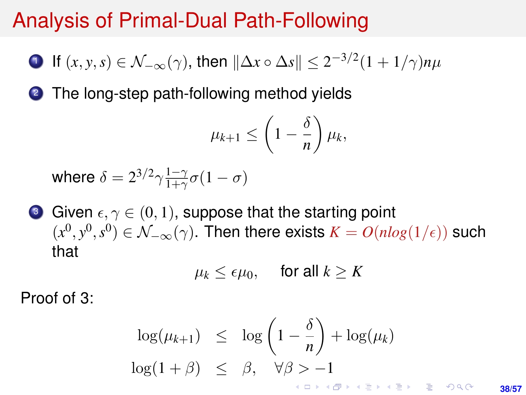# Analysis of Primal-Dual Path-Following

 $1$  If  $(x, y, s) \in \mathcal{N}_{-\infty}(\gamma)$ , then  $\|\Delta x \circ \Delta s\| \leq 2^{-3/2}(1 + 1/\gamma)n\mu$ 

2 The long-step path-following method yields

$$
\mu_{k+1} \leq \left(1 - \frac{\delta}{n}\right) \mu_k,
$$

where  $\delta = 2^{3/2} \gamma \frac{1-\gamma}{1+\gamma}$  $\frac{1-\gamma}{1+\gamma}\sigma(1-\sigma)$ 

**3** Given  $\epsilon, \gamma \in (0, 1)$ , suppose that the starting point  $(x^0, y^0, s^0) \in \mathcal{N}_{-\infty}(\gamma)$ . Then there exists  $K = O(nlog(1/\epsilon))$  such that

$$
\mu_k \le \epsilon \mu_0, \quad \text{ for all } k \ge K
$$

Proof of 3:

$$
\log(\mu_{k+1}) \leq \log\left(1-\frac{\delta}{n}\right) + \log(\mu_k)
$$
  

$$
\log(1+\beta) \leq \beta, \quad \forall \beta > -1
$$

**38/57**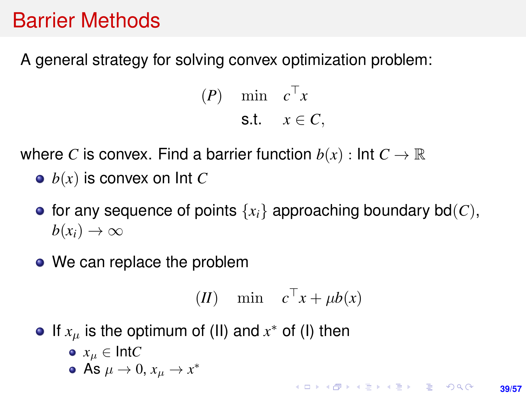# Barrier Methods

A general strategy for solving convex optimization problem:

 $(P)$  min  $c^{\top}x$ s.t.  $x \in C$ ,

where *C* is convex. Find a barrier function  $b(x)$ : Int  $C \to \mathbb{R}$ 

- $\bullet$   $b(x)$  is convex on Int *C*
- for any sequence of points  $\{x_i\}$  approaching boundary bd(C),  $b(x_i) \rightarrow \infty$
- We can replace the problem

$$
(II) \quad \min \quad c^{\top} x + \mu b(x)
$$

- If  $x_\mu$  is the optimum of (II) and  $x^*$  of (I) then
	- $\bullet x_{\mu} \in \text{Int}C$
	- As  $\mu \to 0$ ,  $x_{\mu} \to x^*$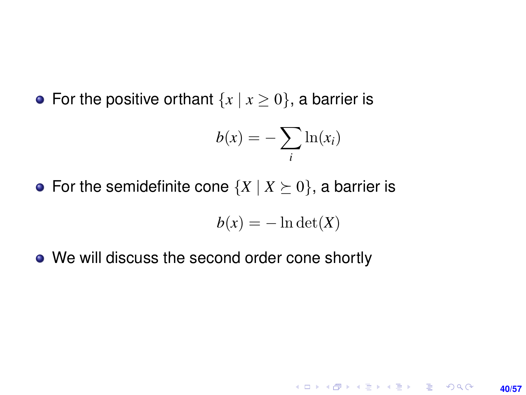• For the positive orthant  $\{x \mid x \ge 0\}$ , a barrier is

$$
b(x) = -\sum_i \ln(x_i)
$$

• For the semidefinite cone  $\{X \mid X \succeq 0\}$ , a barrier is

$$
b(x) = -\ln \det(X)
$$

**40/57**

**KORKARK KERKER DRAM** 

• We will discuss the second order cone shortly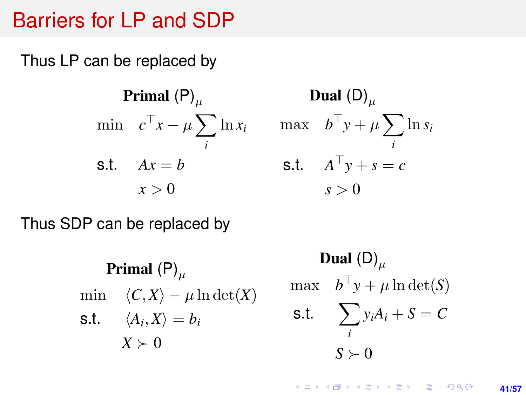### Barriers for LP and SDP

Thus LP can be replaced by

**Primal (P)**<sub>$$
\mu
$$</sub>  
min  $c^{\top}x - \mu \sum_{i} \ln x_{i}$   
s.t.  $Ax = b$   
 $x > 0$ 

Dual  $(D)_{\mu}$ max  $b^{\top}y + \mu \sum$ *i* ln *s<sup>i</sup>* s.t.  $A^{\top}y + s = c$  $s > 0$ 

Thus SDP can be replaced by

**Primal**  $(P)$ <sub>u</sub> min  $\langle C, X \rangle - \mu \ln \det(X)$ s.t.  $\langle A_i, X \rangle = b_i$  $X \succ 0$ 

**Dual (D)**<sub>$$
\mu
$$</sub>  
max  $b^{\top}y + \mu \ln \det(S)$   
s.t.  $\sum_{i} y_i A_i + S = C$   
 $S \succ 0$ 

**KORKARK A BIK BIKA A GA A GA A GA A BIKA A BIKA A BIKA A BIKA A BIKA A BIKA A BIKA A BIKA A BIKA A BIKA A BIKA 41/57**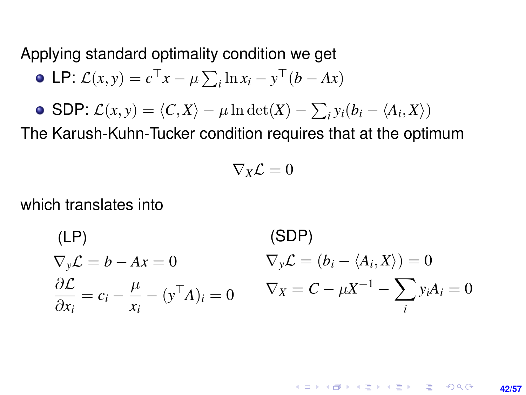Applying standard optimality condition we get

• LP: 
$$
\mathcal{L}(x, y) = c^\top x - \mu \sum_i \ln x_i - y^\top (b - Ax)
$$

• SDP: 
$$
\mathcal{L}(x, y) = \langle C, X \rangle - \mu \ln \det(X) - \sum_i y_i (b_i - \langle A_i, X \rangle)
$$

The Karush-Kuhn-Tucker condition requires that at the optimum

$$
\nabla_X \mathcal{L} = 0
$$

which translates into

$$
\begin{aligned}\n(\text{LP}) & (\text{SDP}) \\
\nabla_y \mathcal{L} &= b - Ax = 0 \\
\frac{\partial \mathcal{L}}{\partial x_i} &= c_i - \frac{\mu}{x_i} - (\mathbf{y}^\top A)_i = 0 \\
\end{aligned} \qquad\n\begin{aligned}\n\n\nabla_y \mathcal{L} &= (b_i - \langle A_i, X \rangle) = 0 \\
\nabla_x &= C - \mu X^{-1} - \sum_i y_i A_i = 0\n\end{aligned}
$$

**KORKARK KERKER DRAM 42/57**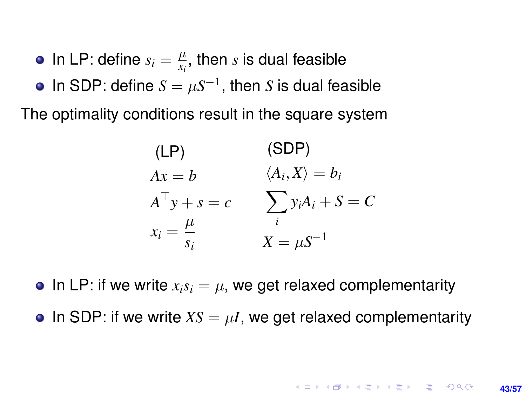- In LP: define  $s_i = \frac{\mu}{x_i}$  $\frac{\mu}{x_i}$ , then  $s$  is dual feasible
- In SDP: define  $S = \mu S^{-1}$ , then *S* is dual feasible

The optimality conditions result in the square system

$$
(LP) \qquad (SDP)
$$
  
\n $Ax = b \qquad \langle A_i, X \rangle = b_i$   
\n $A^{\top} y + s = c \qquad \sum_i y_i A_i + S = C$   
\n $x_i = \frac{\mu}{s_i} \qquad X = \mu S^{-1}$ 

• In LP: if we write  $x_i s_i = \mu$ , we get relaxed complementarity

• In SDP: if we write  $XS = \mu I$ , we get relaxed complementarity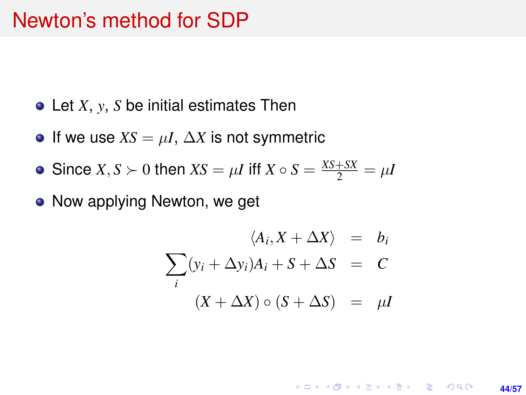## Newton's method for SDP

- Let *X*, *y*, *S* be initial estimates Then
- **If we use**  $XS = \mu I$ **,**  $\Delta X$  **is not symmetric**
- Since *X*, *S*  $\succ$  0 then *XS* =  $\mu$ *I* iff *X*  $\circ$  *S* =  $\frac{XS+SX}{2} = \mu$ *I*
- Now applying Newton, we get

$$
\langle A_i, X + \Delta X \rangle = b_i
$$
  

$$
\sum_i (y_i + \Delta y_i) A_i + S + \Delta S = C
$$
  

$$
(X + \Delta X) \circ (S + \Delta S) = \mu I
$$

**KORKARK KERKER DRAM 44/57**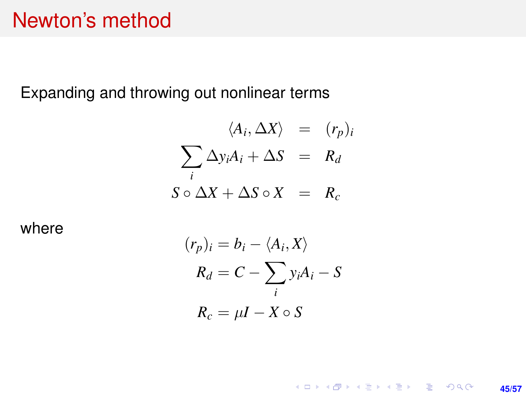## Newton's method

Expanding and throwing out nonlinear terms

$$
\langle A_i, \Delta X \rangle = (r_p)_i
$$
  

$$
\sum_i \Delta y_i A_i + \Delta S = R_d
$$
  

$$
S \circ \Delta X + \Delta S \circ X = R_c
$$

where

$$
(r_p)_i = b_i - \langle A_i, X \rangle
$$
  
\n
$$
R_d = C - \sum_i y_i A_i - S
$$
  
\n
$$
R_c = \mu I - X \circ S
$$

K ロ X (日) X (日) X (日) X (日) X (日) X (日) X (日) X (日) X (日) X (日) X (日) **45/57**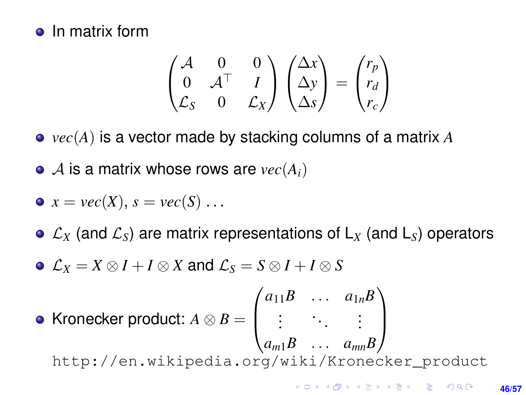#### • In matrix form

$$
\begin{pmatrix} \mathcal{A} & 0 & 0 \\ 0 & \mathcal{A}^\top & I \\ \mathcal{L}_{S} & 0 & \mathcal{L}_{X} \end{pmatrix} \begin{pmatrix} \Delta x \\ \Delta y \\ \Delta s \end{pmatrix} = \begin{pmatrix} r_p \\ r_d \\ r_c \end{pmatrix}
$$

*vec*(*A*) is a vector made by stacking columns of a matrix *A*

 $\bullet$  A is a matrix whose rows are  $vec(A_i)$ 

$$
\bullet \ \ x = vec(X), \ s = vec(S) \ \dots
$$

 $\circ$   $\mathcal{L}_X$  (and  $\mathcal{L}_S$ ) are matrix representations of  $L_X$  (and  $L_S$ ) operators

 $\mathcal{L}_X = X \otimes I + I \otimes X$  and  $\mathcal{L}_S = S \otimes I + I \otimes S$ 

• Kronecker product: 
$$
A \otimes B = \begin{pmatrix} a_{11}B & \dots & a_{1n}B \\ \vdots & \ddots & \vdots \\ a_{m1}B & \dots & a_{mn}B \end{pmatrix}
$$
  
http://en.wikipedia.org/wiki/Kronecker-product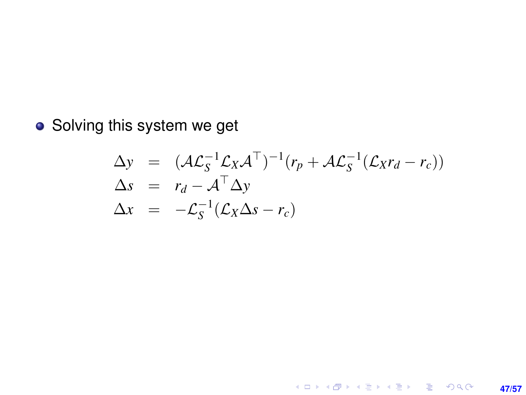Solving this system we get

$$
\Delta y = (\mathcal{A}\mathcal{L}_S^{-1}\mathcal{L}_X\mathcal{A}^\top)^{-1}(r_p + \mathcal{A}\mathcal{L}_S^{-1}(\mathcal{L}_X r_d - r_c))
$$
  
\n
$$
\Delta s = r_d - \mathcal{A}^\top \Delta y
$$
  
\n
$$
\Delta x = -\mathcal{L}_S^{-1}(\mathcal{L}_X \Delta s - r_c)
$$

**47/57**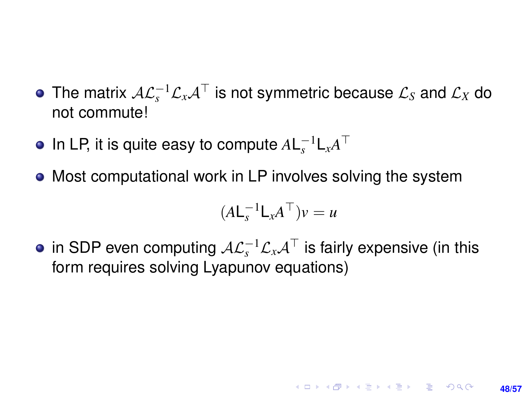- The matrix  $\mathcal{A}\mathcal{L}_s^{-1}\mathcal{L}_x\mathcal{A}^\top$  is not symmetric because  $\mathcal{L}_S$  and  $\mathcal{L}_X$  do not commute!
- In LP, it is quite easy to compute  $A\mathsf{L}^{-1}_s\mathsf{L}_xA^\top$
- Most computational work in LP involves solving the system

$$
(A\mathsf{L}_{s}^{-1}\mathsf{L}_{x}A^{\top})v=u
$$

in SDP even computing  $\mathcal{AL}_s^{-1}\mathcal{L}_x\mathcal{A}^\top$  is fairly expensive (in this form requires solving Lyapunov equations)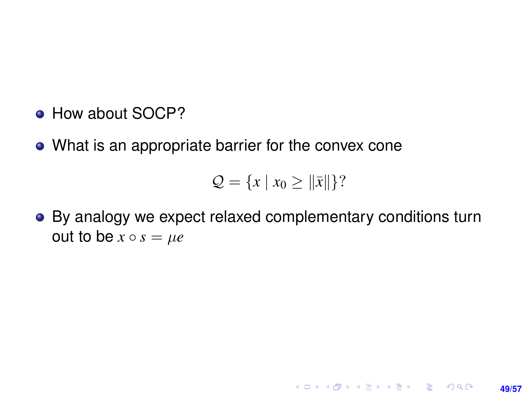- How about SOCP?
- What is an appropriate barrier for the convex cone

$$
\mathcal{Q} = \{x \mid x_0 \geq \|\bar{x}\|\}
$$
?

**49/57**

**KORKARK KERKER DRAM** 

By analogy we expect relaxed complementary conditions turn out to be  $x \circ s = \mu e$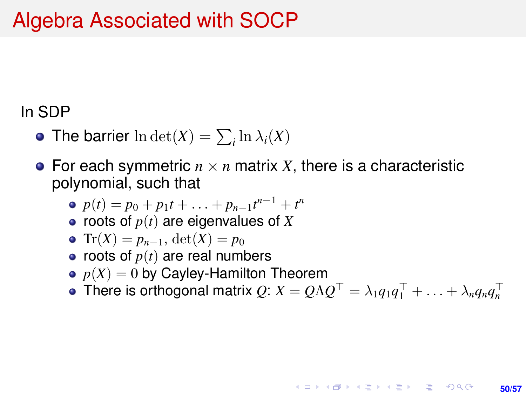# Algebra Associated with SOCP

#### In SDP

- The barrier  $\ln \det(X) = \sum_i \ln \lambda_i(X)$
- For each symmetric  $n \times n$  matrix *X*, there is a characteristic polynomial, such that
	- $p(t) = p_0 + p_1 t + \ldots + p_{n-1} t^{n-1} + t^n$
	- $\bullet$  roots of  $p(t)$  are eigenvalues of *X*

• 
$$
\operatorname{Tr}(X) = p_{n-1}, \det(X) = p_0
$$

- roots of  $p(t)$  are real numbers
- $p(X) = 0$  by Cayley-Hamilton Theorem
- There is orthogonal matrix  $Q: X = Q \Lambda Q^{\top} = \lambda_1 q_1 q_1^{\top} + \ldots + \lambda_n q_n q_n^{\top}$

**KORKARK A BIK BIKA A GA A GA A GA A BIKA A BIKA A BIKA A BIKA A BIKA A BIKA A BIKA A BIKA A BIKA A BIKA A BIKA** 

**50/57**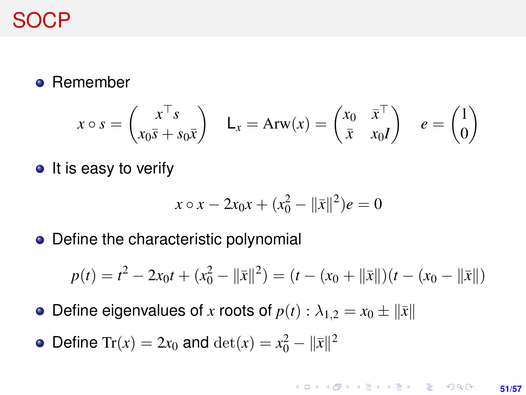

• Remember

$$
x \circ s = \begin{pmatrix} x^{\top} s \\ x_0 \overline{s} + s_0 \overline{x} \end{pmatrix} \quad \mathsf{L}_x = \mathsf{Arw}(x) = \begin{pmatrix} x_0 & \overline{x}^{\top} \\ \overline{x} & x_0 I \end{pmatrix} \quad e = \begin{pmatrix} 1 \\ 0 \end{pmatrix}
$$

 $\bullet$  It is easy to verify

$$
x \circ x - 2x_0 x + (x_0^2 - ||\bar{x}||^2)e = 0
$$

• Define the characteristic polynomial

$$
p(t) = t2 - 2x0t + (x02 - ||\bar{x}||2) = (t - (x0 + ||\bar{x}||)(t - (x0 - ||\bar{x}||))
$$

- Define eigenvalues of *x* roots of  $p(t): \lambda_{1,2} = x_0 \pm ||\bar{x}||$
- Define Tr(*x*) = 2*x*<sub>0</sub> and  $det(x) = x_0^2 ||\bar{x}||^2$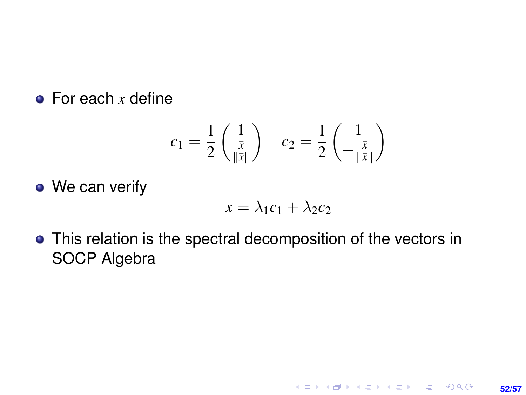#### **•** For each *x* define

$$
c_1 = \frac{1}{2} \begin{pmatrix} 1 \\ \frac{\bar{x}}{\|\bar{x}\|} \end{pmatrix} \quad c_2 = \frac{1}{2} \begin{pmatrix} 1 \\ -\frac{\bar{x}}{\|\bar{x}\|} \end{pmatrix}
$$

• We can verify

$$
x = \lambda_1 c_1 + \lambda_2 c_2
$$

This relation is the spectral decomposition of the vectors in SOCP Algebra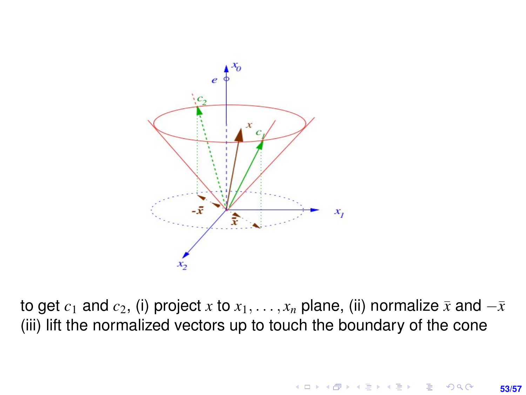

to get  $c_1$  and  $c_2$ , (i) project *x* to  $x_1, \ldots, x_n$  plane, (ii) normalize  $\bar{x}$  and  $-\bar{x}$ (iii) lift the normalized vectors up to touch the boundary of the cone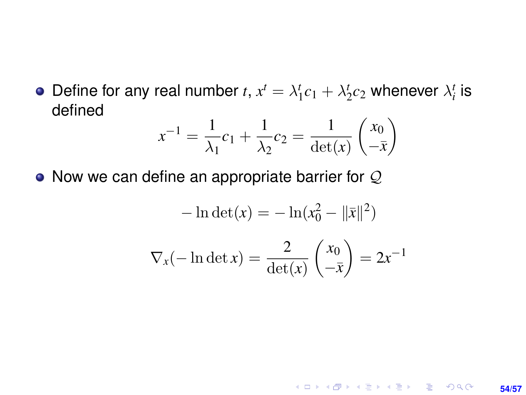Define for any real number  $t$ ,  $x^t = \lambda_1^t c_1 + \lambda_2^t c_2$  whenever  $\lambda_i^t$  is defined

$$
x^{-1} = \frac{1}{\lambda_1} c_1 + \frac{1}{\lambda_2} c_2 = \frac{1}{\det(x)} \begin{pmatrix} x_0 \\ -\bar{x} \end{pmatrix}
$$

• Now we can define an appropriate barrier for  $Q$ 

$$
-\ln \det(x) = -\ln(x_0^2 - \|\bar{x}\|^2)
$$

$$
\nabla_x(-\ln \det x) = \frac{2}{\det(x)} \begin{pmatrix} x_0 \\ -\bar{x} \end{pmatrix} = 2x^{-1}
$$

**54/57**

**KORKARK KERKER DRAM**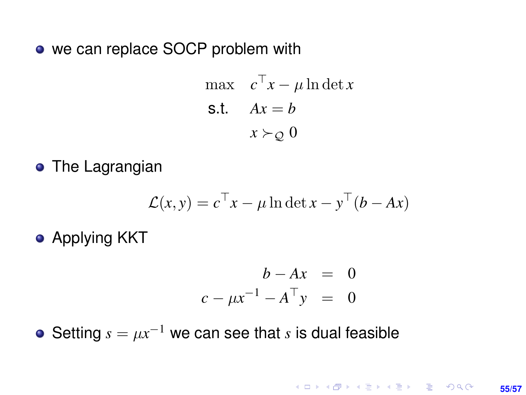• we can replace SOCP problem with

$$
\begin{aligned}\n\max \quad & c^\top x - \mu \ln \det x \\
\text{s.t.} \quad & Ax = b \\
& x \succ \varrho \quad 0\n\end{aligned}
$$

**•** The Lagrangian

$$
\mathcal{L}(x, y) = c^{\top} x - \mu \ln \det x - y^{\top} (b - Ax)
$$

**•** Applying KKT

$$
b - Ax = 0
$$
  

$$
c - \mu x^{-1} - A^{\top} y = 0
$$

Setting  $s = \mu x^{-1}$  we can see that *s* is dual feasible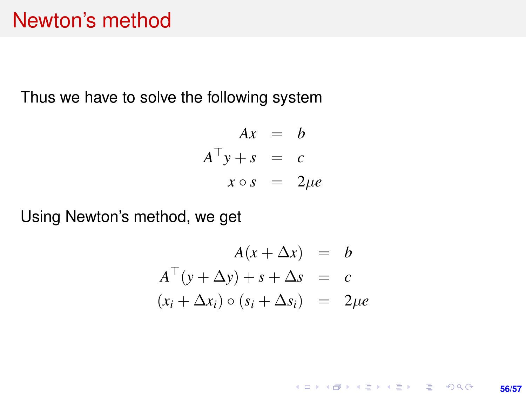### Newton's method

Thus we have to solve the following system

$$
Ax = b
$$
  

$$
A^{\top}y + s = c
$$
  

$$
x \circ s = 2\mu e
$$

Using Newton's method, we get

$$
A(x + \Delta x) = b
$$
  
\n
$$
A^{\top}(y + \Delta y) + s + \Delta s = c
$$
  
\n
$$
(x_i + \Delta x_i) \circ (s_i + \Delta s_i) = 2\mu e
$$

K ロ ▶ K @ ▶ K 할 ▶ K 할 ▶ 이 할 → 9 Q @ **56/57**